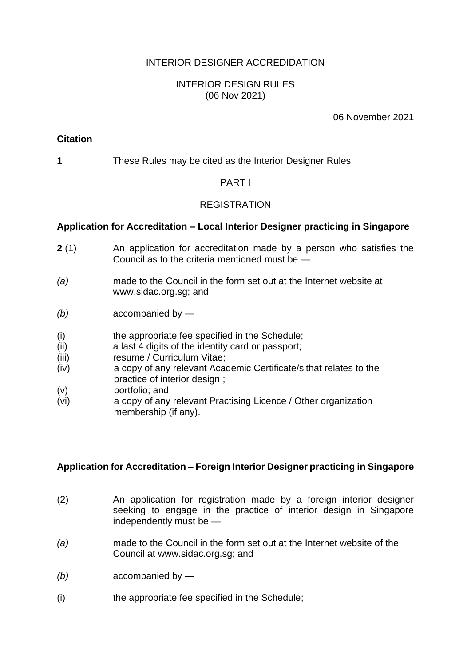## INTERIOR DESIGNER ACCREDIDATION

## INTERIOR DESIGN RULES (06 Nov 2021)

#### 06 November 2021

## **Citation**

**1** These Rules may be cited as the Interior Designer Rules.

## PART I

## REGISTRATION

## **Application for Accreditation – Local Interior Designer practicing in Singapore**

- **2** (1) An application for accreditation made by a person who satisfies the Council as to the criteria mentioned must be —
- *(a)* made to the Council in the form set out at the Internet website at www.sidac.org.sg; and
- *(b)* accompanied by —
- (i) the appropriate fee specified in the Schedule;
- (ii) a last 4 digits of the identity card or passport;
- (iii) resume / Curriculum Vitae;
- (iv) a copy of any relevant Academic Certificate/s that relates to the practice of interior design ;
- (v) portfolio; and
- (vi) a copy of any relevant Practising Licence / Other organization membership (if any).

## **Application for Accreditation – Foreign Interior Designer practicing in Singapore**

- (2) An application for registration made by a foreign interior designer seeking to engage in the practice of interior design in Singapore independently must be —
- *(a)* made to the Council in the form set out at the Internet website of the Council at www.sidac.org.sg; and
- *(b)* accompanied by —
- (i) the appropriate fee specified in the Schedule;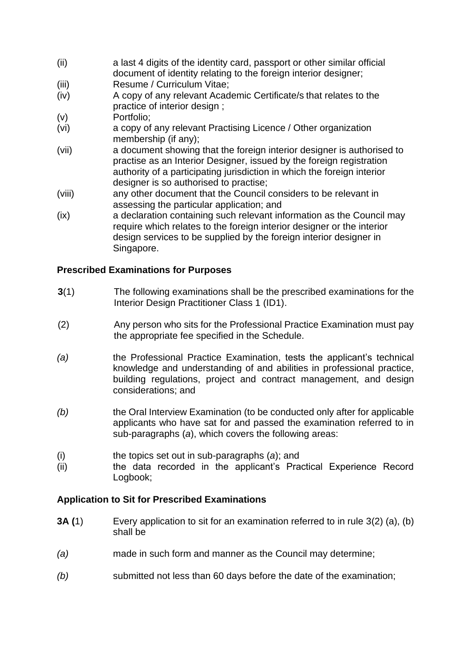- (ii) a last 4 digits of the identity card, passport or other similar official document of identity relating to the foreign interior designer;
- (iii) Resume / Curriculum Vitae;
- (iv) A copy of any relevant Academic Certificate/s that relates to the practice of interior design ;
- (v) Portfolio;
- (vi) a copy of any relevant Practising Licence / Other organization membership (if any);
- (vii) a document showing that the foreign interior designer is authorised to practise as an Interior Designer, issued by the foreign registration authority of a participating jurisdiction in which the foreign interior designer is so authorised to practise;
- (viii) any other document that the Council considers to be relevant in assessing the particular application; and
- (ix) a declaration containing such relevant information as the Council may require which relates to the foreign interior designer or the interior design services to be supplied by the foreign interior designer in Singapore.

## **Prescribed Examinations for Purposes**

- **3**(1) The following examinations shall be the prescribed examinations for the Interior Design Practitioner Class 1 (ID1).
- (2) Any person who sits for the Professional Practice Examination must pay the appropriate fee specified in the Schedule.
- *(a)* the Professional Practice Examination, tests the applicant's technical knowledge and understanding of and abilities in professional practice, building regulations, project and contract management, and design considerations; and
- *(b)* the Oral Interview Examination (to be conducted only after for applicable applicants who have sat for and passed the examination referred to in sub-paragraphs (*a*), which covers the following areas:
- (i) the topics set out in sub-paragraphs (*a*); and
- (ii) the data recorded in the applicant's Practical Experience Record Logbook;

## **Application to Sit for Prescribed Examinations**

- **3A (**1) Every application to sit for an examination referred to in rule 3(2) (a), (b) shall be
- *(a)* made in such form and manner as the Council may determine;
- *(b)* submitted not less than 60 days before the date of the examination;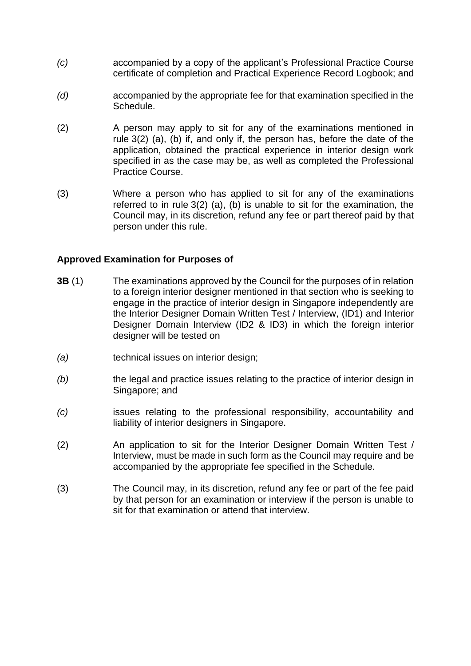- *(c)* accompanied by a copy of the applicant's Professional Practice Course certificate of completion and Practical Experience Record Logbook; and
- *(d)* accompanied by the appropriate fee for that examination specified in the Schedule.
- (2) A person may apply to sit for any of the examinations mentioned in rule 3(2) (a), (b) if, and only if, the person has, before the date of the application, obtained the practical experience in interior design work specified in as the case may be, as well as completed the Professional Practice Course.
- (3) Where a person who has applied to sit for any of the examinations referred to in rule 3(2) (a), (b) is unable to sit for the examination, the Council may, in its discretion, refund any fee or part thereof paid by that person under this rule.

## **Approved Examination for Purposes of**

- **3B** (1) The examinations approved by the Council for the purposes of in relation to a foreign interior designer mentioned in that section who is seeking to engage in the practice of interior design in Singapore independently are the Interior Designer Domain Written Test / Interview, (ID1) and Interior Designer Domain Interview (ID2 & ID3) in which the foreign interior designer will be tested on
- *(a)* technical issues on interior design;
- *(b)* the legal and practice issues relating to the practice of interior design in Singapore; and
- *(c)* issues relating to the professional responsibility, accountability and liability of interior designers in Singapore.
- (2) An application to sit for the Interior Designer Domain Written Test / Interview, must be made in such form as the Council may require and be accompanied by the appropriate fee specified in the Schedule.
- (3) The Council may, in its discretion, refund any fee or part of the fee paid by that person for an examination or interview if the person is unable to sit for that examination or attend that interview.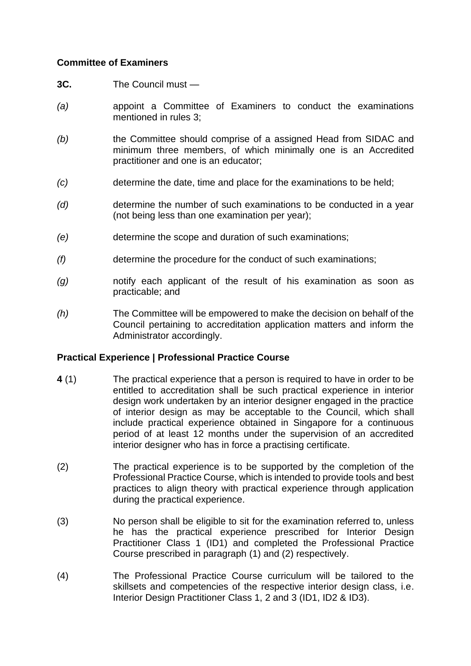## **Committee of Examiners**

- **3C.** The Council must —
- *(a)* appoint a Committee of Examiners to conduct the examinations mentioned in rules 3;
- *(b)* the Committee should comprise of a assigned Head from SIDAC and minimum three members, of which minimally one is an Accredited practitioner and one is an educator;
- *(c)* determine the date, time and place for the examinations to be held;
- *(d)* determine the number of such examinations to be conducted in a year (not being less than one examination per year);
- *(e)* determine the scope and duration of such examinations;
- *(f)* determine the procedure for the conduct of such examinations;
- *(g)* notify each applicant of the result of his examination as soon as practicable; and
- *(h)* The Committee will be empowered to make the decision on behalf of the Council pertaining to accreditation application matters and inform the Administrator accordingly.

## **Practical Experience | Professional Practice Course**

- **4** (1) The practical experience that a person is required to have in order to be entitled to accreditation shall be such practical experience in interior design work undertaken by an interior designer engaged in the practice of interior design as may be acceptable to the Council, which shall include practical experience obtained in Singapore for a continuous period of at least 12 months under the supervision of an accredited interior designer who has in force a practising certificate.
- (2) The practical experience is to be supported by the completion of the Professional Practice Course, which is intended to provide tools and best practices to align theory with practical experience through application during the practical experience.
- (3) No person shall be eligible to sit for the examination referred to, unless he has the practical experience prescribed for Interior Design Practitioner Class 1 (ID1) and completed the Professional Practice Course prescribed in paragraph (1) and (2) respectively.
- (4) The Professional Practice Course curriculum will be tailored to the skillsets and competencies of the respective interior design class, i.e. Interior Design Practitioner Class 1, 2 and 3 (ID1, ID2 & ID3).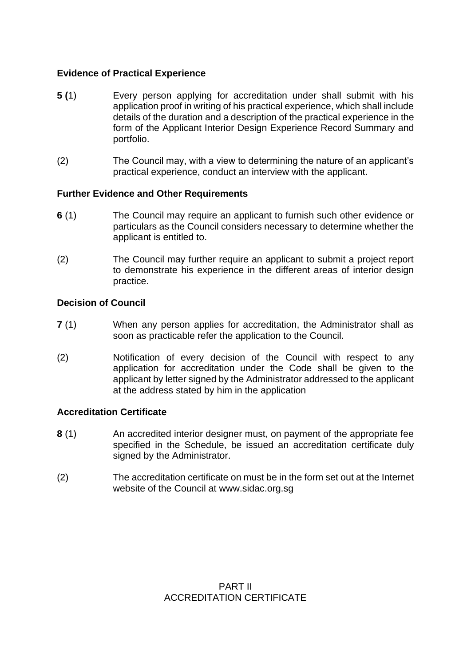## **Evidence of Practical Experience**

- **5 (**1) Every person applying for accreditation under shall submit with his application proof in writing of his practical experience, which shall include details of the duration and a description of the practical experience in the form of the Applicant Interior Design Experience Record Summary and portfolio.
- (2) The Council may, with a view to determining the nature of an applicant's practical experience, conduct an interview with the applicant.

## **Further Evidence and Other Requirements**

- **6** (1) The Council may require an applicant to furnish such other evidence or particulars as the Council considers necessary to determine whether the applicant is entitled to.
- (2) The Council may further require an applicant to submit a project report to demonstrate his experience in the different areas of interior design practice.

## **Decision of Council**

- **7** (1) When any person applies for accreditation, the Administrator shall as soon as practicable refer the application to the Council.
- (2) Notification of every decision of the Council with respect to any application for accreditation under the Code shall be given to the applicant by letter signed by the Administrator addressed to the applicant at the address stated by him in the application

## **Accreditation Certificate**

- **8** (1) An accredited interior designer must, on payment of the appropriate fee specified in the Schedule, be issued an accreditation certificate duly signed by the Administrator.
- (2) The accreditation certificate on must be in the form set out at the Internet website of the Council at www.sidac.org.sg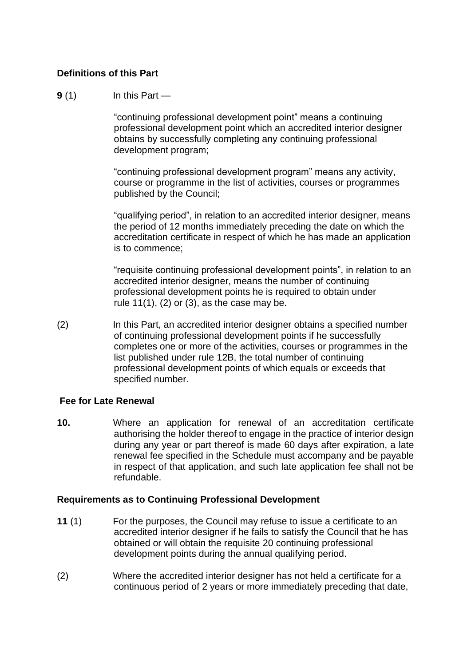## **Definitions of this Part**

#### **9** (1) In this Part —

"continuing professional development point" means a continuing professional development point which an accredited interior designer obtains by successfully completing any continuing professional development program;

"continuing professional development program" means any activity, course or programme in the list of activities, courses or programmes published by the Council;

"qualifying period", in relation to an accredited interior designer, means the period of 12 months immediately preceding the date on which the accreditation certificate in respect of which he has made an application is to commence;

"requisite continuing professional development points", in relation to an accredited interior designer, means the number of continuing professional development points he is required to obtain under rule  $11(1)$ ,  $(2)$  or  $(3)$ , as the case may be.

(2) In this Part, an accredited interior designer obtains a specified number of continuing professional development points if he successfully completes one or more of the activities, courses or programmes in the list published under rule 12B, the total number of continuing professional development points of which equals or exceeds that specified number.

## **Fee for Late Renewal**

**10.** Where an application for renewal of an accreditation certificate authorising the holder thereof to engage in the practice of interior design during any year or part thereof is made 60 days after expiration, a late renewal fee specified in the Schedule must accompany and be payable in respect of that application, and such late application fee shall not be refundable.

## **Requirements as to Continuing Professional Development**

- **11** (1) For the purposes, the Council may refuse to issue a certificate to an accredited interior designer if he fails to satisfy the Council that he has obtained or will obtain the requisite 20 continuing professional development points during the annual qualifying period.
- (2) Where the accredited interior designer has not held a certificate for a continuous period of 2 years or more immediately preceding that date,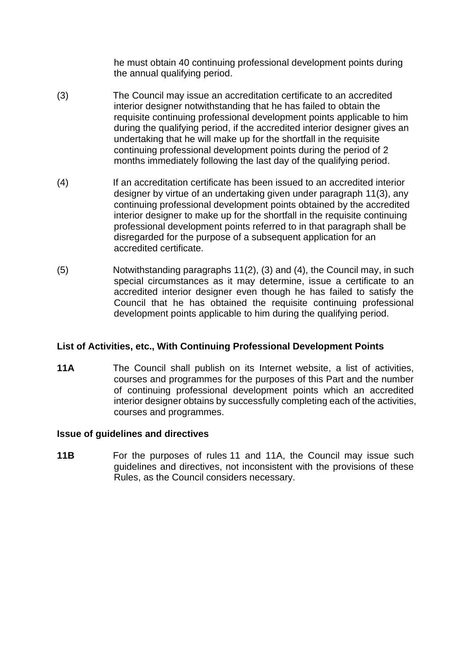he must obtain 40 continuing professional development points during the annual qualifying period.

- (3) The Council may issue an accreditation certificate to an accredited interior designer notwithstanding that he has failed to obtain the requisite continuing professional development points applicable to him during the qualifying period, if the accredited interior designer gives an undertaking that he will make up for the shortfall in the requisite continuing professional development points during the period of 2 months immediately following the last day of the qualifying period.
- (4) If an accreditation certificate has been issued to an accredited interior designer by virtue of an undertaking given under paragraph 11(3), any continuing professional development points obtained by the accredited interior designer to make up for the shortfall in the requisite continuing professional development points referred to in that paragraph shall be disregarded for the purpose of a subsequent application for an accredited certificate.
- (5) Notwithstanding paragraphs 11(2), (3) and (4), the Council may, in such special circumstances as it may determine, issue a certificate to an accredited interior designer even though he has failed to satisfy the Council that he has obtained the requisite continuing professional development points applicable to him during the qualifying period.

## **List of Activities, etc., With Continuing Professional Development Points**

**11A** The Council shall publish on its Internet website, a list of activities, courses and programmes for the purposes of this Part and the number of continuing professional development points which an accredited interior designer obtains by successfully completing each of the activities, courses and programmes.

## **Issue of guidelines and directives**

**11B** For the purposes of rules 11 and 11A, the Council may issue such guidelines and directives, not inconsistent with the provisions of these Rules, as the Council considers necessary.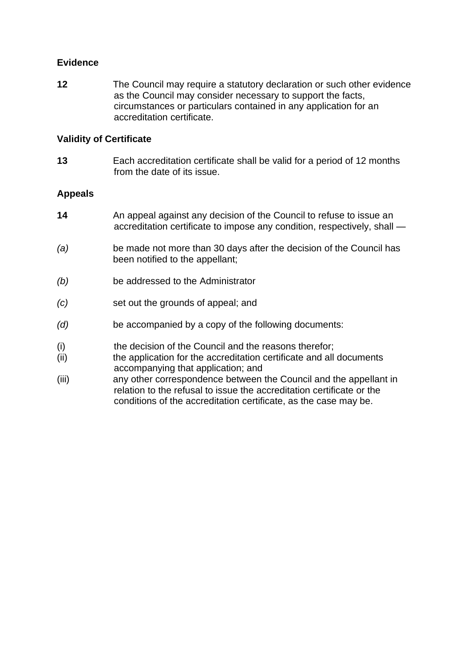## **Evidence**

**12** The Council may require a statutory declaration or such other evidence as the Council may consider necessary to support the facts, circumstances or particulars contained in any application for an accreditation certificate.

#### **Validity of Certificate**

**13** Each accreditation certificate shall be valid for a period of 12 months from the date of its issue.

#### **Appeals**

- **14** An appeal against any decision of the Council to refuse to issue an accreditation certificate to impose any condition, respectively, shall —
- *(a)* be made not more than 30 days after the decision of the Council has been notified to the appellant;
- *(b)* be addressed to the Administrator
- *(c)* set out the grounds of appeal; and
- *(d)* be accompanied by a copy of the following documents:
- (i) the decision of the Council and the reasons therefor;
- (ii) the application for the accreditation certificate and all documents accompanying that application; and
- (iii) any other correspondence between the Council and the appellant in relation to the refusal to issue the accreditation certificate or the conditions of the accreditation certificate, as the case may be.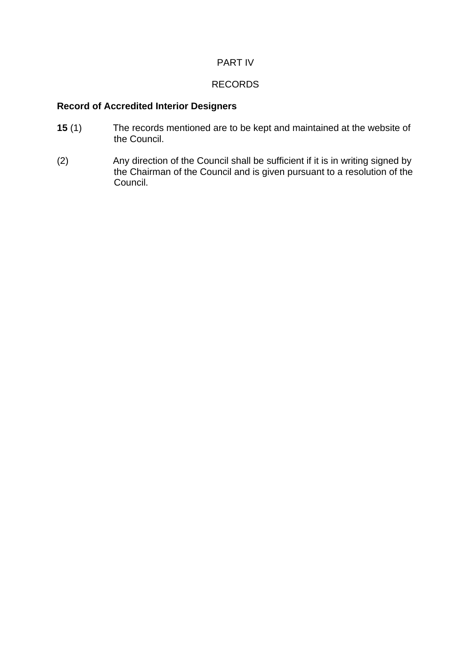## PART IV

# RECORDS

# **Record of Accredited Interior Designers**

- **15** (1) The records mentioned are to be kept and maintained at the website of the Council.
- (2) Any direction of the Council shall be sufficient if it is in writing signed by the Chairman of the Council and is given pursuant to a resolution of the Council.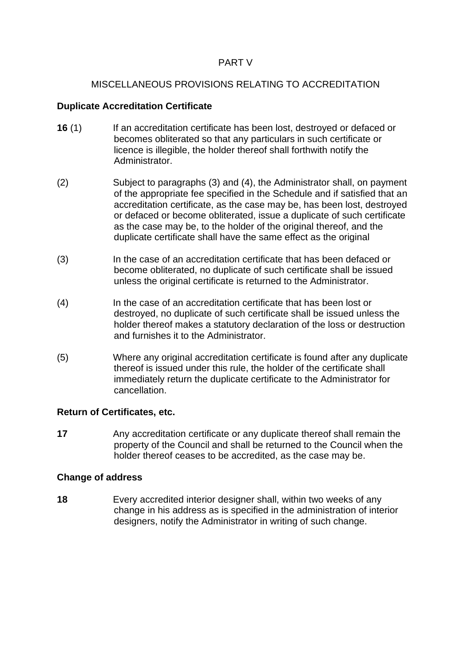## PART V

## MISCELLANEOUS PROVISIONS RELATING TO ACCREDITATION

#### **Duplicate Accreditation Certificate**

- **16** (1) If an accreditation certificate has been lost, destroyed or defaced or becomes obliterated so that any particulars in such certificate or licence is illegible, the holder thereof shall forthwith notify the Administrator.
- (2) Subject to paragraphs (3) and (4), the Administrator shall, on payment of the appropriate fee specified in the Schedule and if satisfied that an accreditation certificate, as the case may be, has been lost, destroyed or defaced or become obliterated, issue a duplicate of such certificate as the case may be, to the holder of the original thereof, and the duplicate certificate shall have the same effect as the original
- (3) In the case of an accreditation certificate that has been defaced or become obliterated, no duplicate of such certificate shall be issued unless the original certificate is returned to the Administrator.
- (4) In the case of an accreditation certificate that has been lost or destroyed, no duplicate of such certificate shall be issued unless the holder thereof makes a statutory declaration of the loss or destruction and furnishes it to the Administrator.
- (5) Where any original accreditation certificate is found after any duplicate thereof is issued under this rule, the holder of the certificate shall immediately return the duplicate certificate to the Administrator for cancellation.

## **Return of Certificates, etc.**

**17** Any accreditation certificate or any duplicate thereof shall remain the property of the Council and shall be returned to the Council when the holder thereof ceases to be accredited, as the case may be.

#### **Change of address**

**18** Every accredited interior designer shall, within two weeks of any change in his address as is specified in the administration of interior designers, notify the Administrator in writing of such change.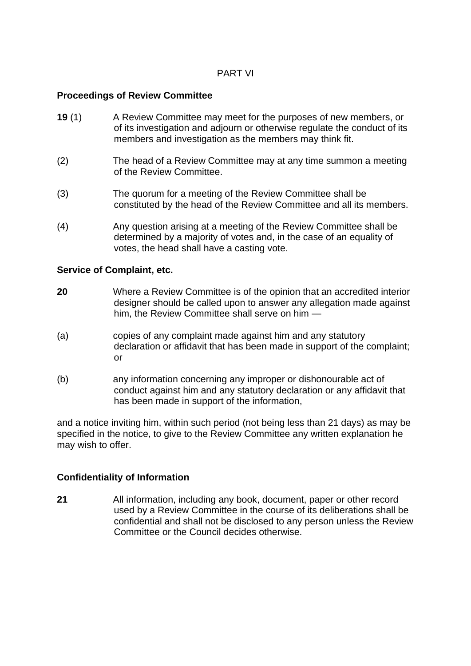#### PART VI

#### **Proceedings of Review Committee**

- **19** (1) A Review Committee may meet for the purposes of new members, or of its investigation and adjourn or otherwise regulate the conduct of its members and investigation as the members may think fit.
- (2) The head of a Review Committee may at any time summon a meeting of the Review Committee.
- (3) The quorum for a meeting of the Review Committee shall be constituted by the head of the Review Committee and all its members.
- (4) Any question arising at a meeting of the Review Committee shall be determined by a majority of votes and, in the case of an equality of votes, the head shall have a casting vote.

#### **Service of Complaint, etc.**

- **20** Where a Review Committee is of the opinion that an accredited interior designer should be called upon to answer any allegation made against him, the Review Committee shall serve on him —
- (a) copies of any complaint made against him and any statutory declaration or affidavit that has been made in support of the complaint; or
- (b) any information concerning any improper or dishonourable act of conduct against him and any statutory declaration or any affidavit that has been made in support of the information,

and a notice inviting him, within such period (not being less than 21 days) as may be specified in the notice, to give to the Review Committee any written explanation he may wish to offer.

#### **Confidentiality of Information**

**21** All information, including any book, document, paper or other record used by a Review Committee in the course of its deliberations shall be confidential and shall not be disclosed to any person unless the Review Committee or the Council decides otherwise.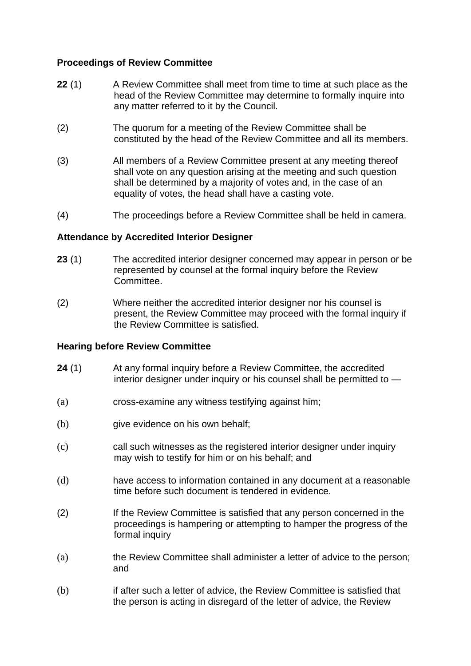## **Proceedings of Review Committee**

- **22** (1) A Review Committee shall meet from time to time at such place as the head of the Review Committee may determine to formally inquire into any matter referred to it by the Council.
- (2) The quorum for a meeting of the Review Committee shall be constituted by the head of the Review Committee and all its members.
- (3) All members of a Review Committee present at any meeting thereof shall vote on any question arising at the meeting and such question shall be determined by a majority of votes and, in the case of an equality of votes, the head shall have a casting vote.
- (4) The proceedings before a Review Committee shall be held in camera.

## **Attendance by Accredited Interior Designer**

- **23** (1) The accredited interior designer concerned may appear in person or be represented by counsel at the formal inquiry before the Review **Committee.**
- (2) Where neither the accredited interior designer nor his counsel is present, the Review Committee may proceed with the formal inquiry if the Review Committee is satisfied.

#### **Hearing before Review Committee**

- **24** (1) At any formal inquiry before a Review Committee, the accredited interior designer under inquiry or his counsel shall be permitted to —
- (a) cross-examine any witness testifying against him;
- (b) give evidence on his own behalf;
- (c) call such witnesses as the registered interior designer under inquiry may wish to testify for him or on his behalf; and
- (d) have access to information contained in any document at a reasonable time before such document is tendered in evidence.
- (2) If the Review Committee is satisfied that any person concerned in the proceedings is hampering or attempting to hamper the progress of the formal inquiry
- (a) the Review Committee shall administer a letter of advice to the person; and
- (b) if after such a letter of advice, the Review Committee is satisfied that the person is acting in disregard of the letter of advice, the Review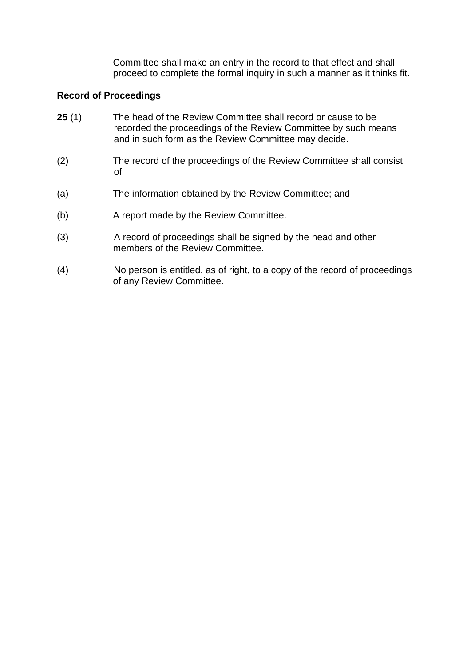Committee shall make an entry in the record to that effect and shall proceed to complete the formal inquiry in such a manner as it thinks fit.

## **Record of Proceedings**

- **25** (1) The head of the Review Committee shall record or cause to be recorded the proceedings of the Review Committee by such means and in such form as the Review Committee may decide.
- (2) The record of the proceedings of the Review Committee shall consist of
- (a) The information obtained by the Review Committee; and
- (b) A report made by the Review Committee.
- (3) A record of proceedings shall be signed by the head and other members of the Review Committee.
- (4) No person is entitled, as of right, to a copy of the record of proceedings of any Review Committee.